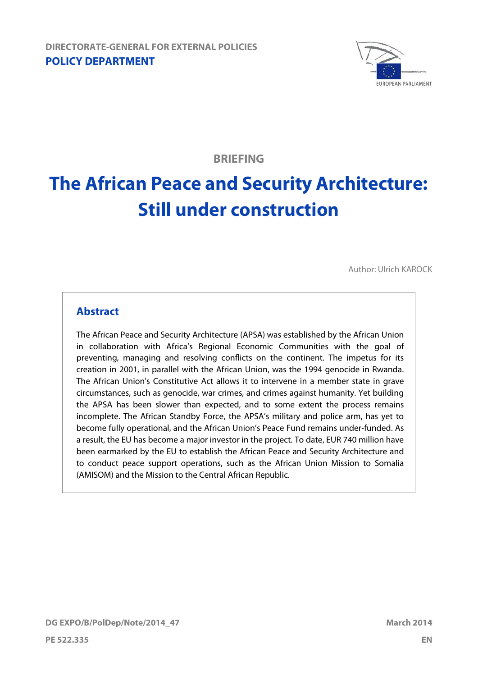

**BRIEFING**

# **The African Peace and Security Architecture: Still under construction**

Author: Ulrich KAROCK

### **Abstract**

The African Peace and Security Architecture (APSA) was established by the African Union in collaboration with Africa's Regional Economic Communities with the goal of preventing, managing and resolving conflicts on the continent. The impetus for its creation in 2001, in parallel with the African Union, was the 1994 genocide in Rwanda. The African Union's Constitutive Act allows it to intervene in a member state in grave circumstances, such as genocide, war crimes, and crimes against humanity. Yet building the APSA has been slower than expected, and to some extent the process remains incomplete. The African Standby Force, the APSA's military and police arm, has yet to become fully operational, and the African Union's Peace Fund remains under-funded. As a result, the EU has become a major investor in the project. To date, EUR 740 million have been earmarked by the EU to establish the African Peace and Security Architecture and to conduct peace support operations, such as the African Union Mission to Somalia (AMISOM) and the Mission to the Central African Republic.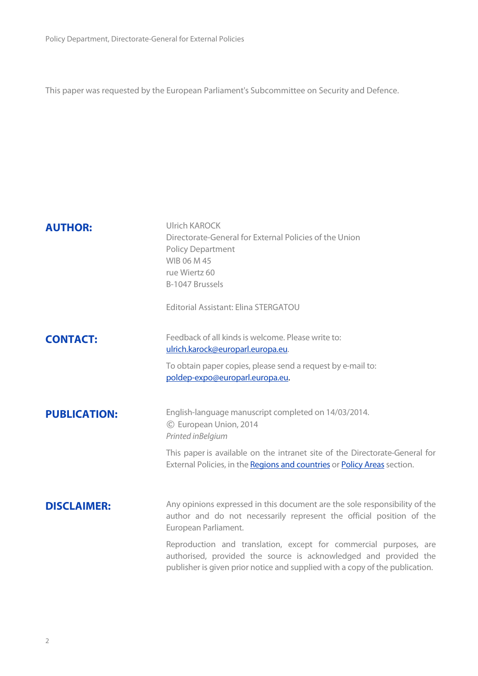This paper was requested by the European Parliament's Subcommittee on Security and Defence.

| <b>AUTHOR:</b>      | Ulrich KAROCK<br>Directorate-General for External Policies of the Union<br><b>Policy Department</b><br>WIB 06 M 45<br>rue Wiertz 60<br>B-1047 Brussels<br>Editorial Assistant: Elina STERGATOU                                                                                                                                                                                                      |
|---------------------|-----------------------------------------------------------------------------------------------------------------------------------------------------------------------------------------------------------------------------------------------------------------------------------------------------------------------------------------------------------------------------------------------------|
| <b>CONTACT:</b>     | Feedback of all kinds is welcome. Please write to:<br>ulrich.karock@europarl.europa.eu.<br>To obtain paper copies, please send a request by e-mail to:<br>poldep-expo@europarl.europa.eu.                                                                                                                                                                                                           |
| <b>PUBLICATION:</b> | English-language manuscript completed on 14/03/2014.<br>© European Union, 2014<br>Printed inBelgium<br>This paper is available on the intranet site of the Directorate-General for<br>External Policies, in the Regions and countries or Policy Areas section.                                                                                                                                      |
| <b>DISCLAIMER:</b>  | Any opinions expressed in this document are the sole responsibility of the<br>author and do not necessarily represent the official position of the<br>European Parliament.<br>Reproduction and translation, except for commercial purposes, are<br>authorised, provided the source is acknowledged and provided the<br>publisher is given prior notice and supplied with a copy of the publication. |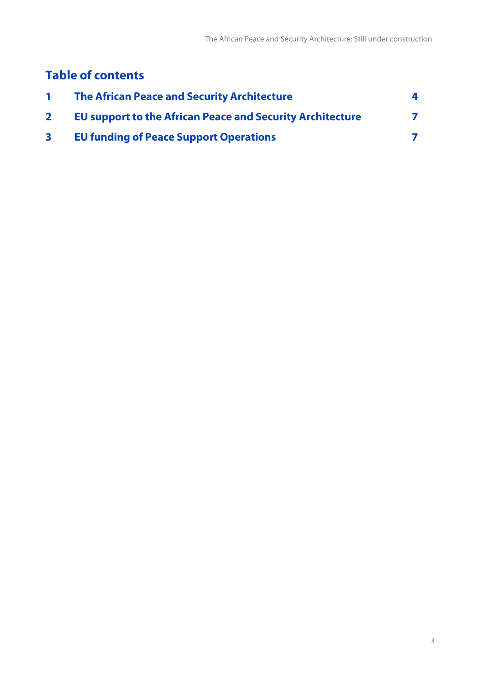## **Table of contents**

| <b>The African Peace and Security Architecture</b>               |  |
|------------------------------------------------------------------|--|
| <b>EU support to the African Peace and Security Architecture</b> |  |
| <b>EU funding of Peace Support Operations</b>                    |  |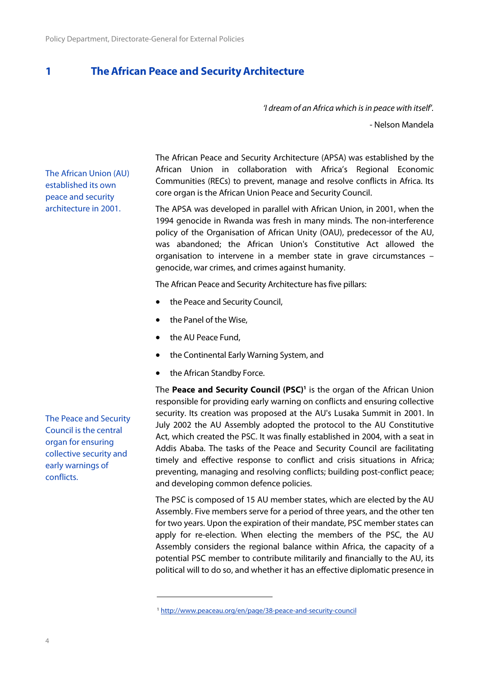#### <span id="page-3-0"></span>**1 TheAfrican Peace and Security Architecture**

*'I dream of an Africa which is in peace with itself'.*

- Nelson Mandela

The African Union (AU) established its own peace and security architecture in 2001.

The African Peace and Security Architecture (APSA) was established by the African Union in collaboration with Africa's Regional Economic Communities (RECs) to prevent, manage and resolve conflicts in Africa. Its core organ is the African Union Peace and Security Council.

The APSA was developed in parallel with African Union, in 2001, when the 1994 genocide in Rwanda was fresh in many minds. The non-interference policy of the Organisation of African Unity (OAU), predecessor of the AU, was abandoned; the African Union's Constitutive Act allowed the organisation to intervene in a member state in grave circumstances – genocide, war crimes, and crimes against humanity.

The African Peace and Security Architecture has five pillars:

- the Peace and Security Council,
- the Panel of the Wise,
- the AU Peace Fund,
- the Continental Early Warning System, and
- the African Standby Force.

The **Peace and Security Council (PSC)<sup>1</sup>** is the organ of the African Union responsible for providing early warning on conflicts and ensuring collective security. Its creation was proposed at the AU's Lusaka Summit in 2001. In July 2002 the AU Assembly adopted the protocol to the AU Constitutive Act, which created the PSC. It was finally established in 2004, with a seat in Addis Ababa. The tasks of the Peace and Security Council are facilitating timely and effective response to conflict and crisis situations in Africa; preventing, managing and resolving conflicts; building post-conflict peace; and developing common defence policies.

The PSC is composed of 15 AU member states, which are elected by the AU Assembly. Five members serve for a period of three years, and the other ten for two years. Upon the expiration of their mandate, PSC member states can apply for re-election. When electing the members of the PSC, the AU Assembly considers the regional balance within Africa, the capacity of a potential PSC member to contribute militarily and financially to the AU, its political will to do so, and whether it has an effective diplomatic presence in

The Peace and Security Council is the central organ for ensuring collective security and early warnings of conflicts.

<sup>1</sup> <http://www.peaceau.org/en/page/38-peace-and-security-council>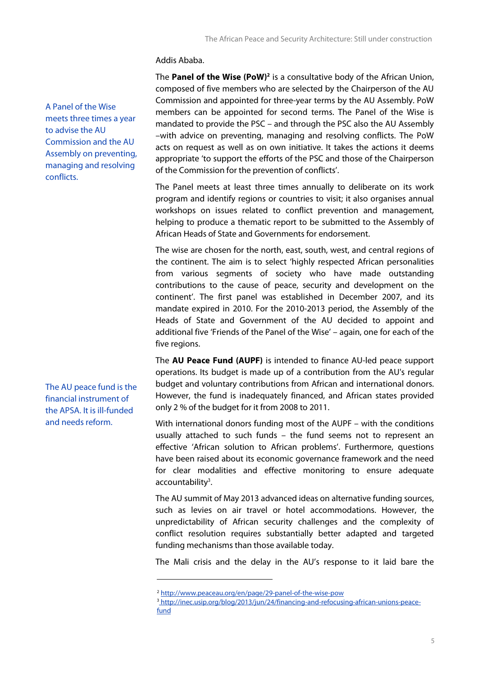Addis Ababa.

A Panel of the Wise meets three times a year to advise the AU Commission and the AU Assembly on preventing, managing and resolving conflicts.

The AU peace fund is the financial instrument of the APSA. It is ill-funded and needs reform.

The **Panel of the Wise (PoW)<sup>2</sup>** is a consultative body of the African Union, composed of five members who are selected by the Chairperson of the AU Commission and appointed for three-year terms by the AU Assembly. PoW members can be appointed for second terms. The Panel of the Wise is mandated to provide the PSC – and through the PSC also the AU Assembly –with advice on preventing, managing and resolving conflicts. The PoW acts on request as well as on own initiative. It takes the actions it deems appropriate 'to support the efforts of the PSC and those of the Chairperson of the Commission for the prevention of conflicts'.

The Panel meets at least three times annually to deliberate on its work program and identify regions or countries to visit; it also organises annual workshops on issues related to conflict prevention and management, helping to produce a thematic report to be submitted to the Assembly of African Heads of State and Governments for endorsement.

The wise are chosen for the north, east, south, west, and central regions of the continent. The aim is to select 'highly respected African personalities from various segments of society who have made outstanding contributions to the cause of peace, security and development on the continent'. The first panel was established in December 2007, and its mandate expired in 2010. For the 2010-2013 period, the Assembly of the Heads of State and Government of the AU decided to appoint and additional five 'Friends of the Panel of the Wise' – again, one for each of the five regions.

The **AU Peace Fund (AUPF)** is intended to finance AU-led peace support operations. Its budget is made up of a contribution from the AU's regular budget and voluntary contributions from African and international donors. However, the fund is inadequately financed, and African states provided only 2 % of the budget for it from 2008 to 2011.

With international donors funding most of the AUPF – with the conditions usually attached to such funds – the fund seems not to represent an effective 'African solution to African problems'. Furthermore, questions have been raised about its economic governance framework and the need for clear modalities and effective monitoring to ensure adequate accountability<sup>3</sup>.

The AU summit of May 2013 advanced ideas on alternative funding sources, such as levies on air travel or hotel accommodations. However, the unpredictability of African security challenges and the complexity of conflict resolution requires substantially better adapted and targeted funding mechanisms than those available today.

The Mali crisis and the delay in the AU's response to it laid bare the

<sup>2</sup> <http://www.peaceau.org/en/page/29-panel-of-the-wise-pow>

<sup>3</sup> [http://inec.usip.org/blog/2013/jun/24/financing-and-refocusing-african-unions-peace](http://inec.usip.org/blog/2013/jun/24/financing-and-refocusing-african-unions-peace-fund)[fund](http://inec.usip.org/blog/2013/jun/24/financing-and-refocusing-african-unions-peace-fund)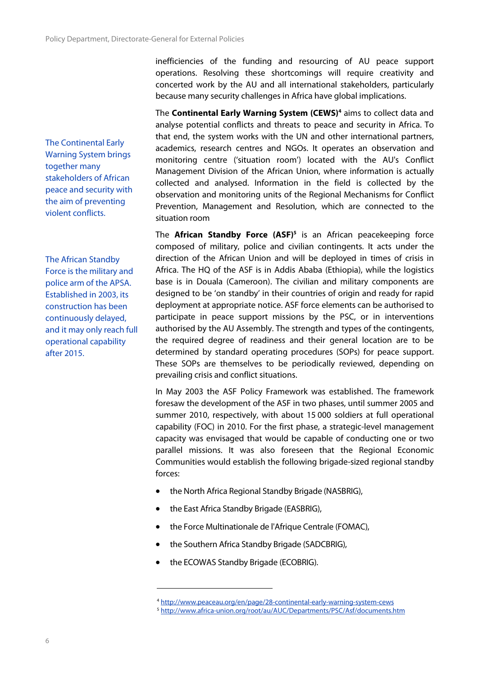The Continental Early Warning System brings together many stakeholders of African peace and security with the aim of preventing violent conflicts.

The African Standby Force is the military and police arm of the APSA. Established in 2003, its construction has been continuously delayed, and it may only reach full operational capability after 2015.

inefficiencies of the funding and resourcing of AU peace support operations. Resolving these shortcomings will require creativity and concerted work by the AU and all international stakeholders, particularly because many security challenges in Africa have global implications.

The **Continental Early Warning System (CEWS)<sup>4</sup>** aims to collect data and analyse potential conflicts and threats to peace and security in Africa. To that end, the system works with the UN and other international partners, academics, research centres and NGOs. It operates an observation and monitoring centre ('situation room') located with the AU's Conflict Management Division of the African Union, where information is actually collected and analysed. Information in the field is collected by the observation and monitoring units of the Regional Mechanisms for Conflict Prevention, Management and Resolution, which are connected to the situation room

The **African Standby Force (ASF)<sup>5</sup>** is an African peacekeeping force composed of military, police and civilian contingents. It acts under the direction of the African Union and will be deployed in times of crisis in Africa. The HQ of the ASF is in Addis Ababa (Ethiopia), while the logistics base is in Douala (Cameroon). The civilian and military components are designed to be 'on standby' in their countries of origin and ready for rapid deployment at appropriate notice. ASF force elements can be authorised to participate in peace support missions by the PSC, or in interventions authorised by the AU Assembly. The strength and types of the contingents, the required degree of readiness and their general location are to be determined by standard operating procedures (SOPs) for peace support. These SOPs are themselves to be periodically reviewed, depending on prevailing crisis and conflict situations.

In May 2003 the ASF Policy Framework was established. The framework foresaw the development of the ASF in two phases, until summer 2005 and summer 2010, respectively, with about 15 000 soldiers at full operational capability (FOC) in 2010. For the first phase, a strategic-level management capacity was envisaged that would be capable of conducting one or two parallel missions. It was also foreseen that the Regional Economic Communities would establish the following brigade-sized regional standby forces:

- the North Africa Regional Standby Brigade (NASBRIG),
- the East Africa Standby Brigade (EASBRIG),
- the Force Multinationale de l'Afrique Centrale (FOMAC),
- the Southern Africa Standby Brigade (SADCBRIG),
- the ECOWAS Standby Brigade (ECOBRIG).

<sup>4</sup> <http://www.peaceau.org/en/page/28-continental-early-warning-system-cews>

<sup>5</sup> <http://www.africa-union.org/root/au/AUC/Departments/PSC/Asf/documents.htm>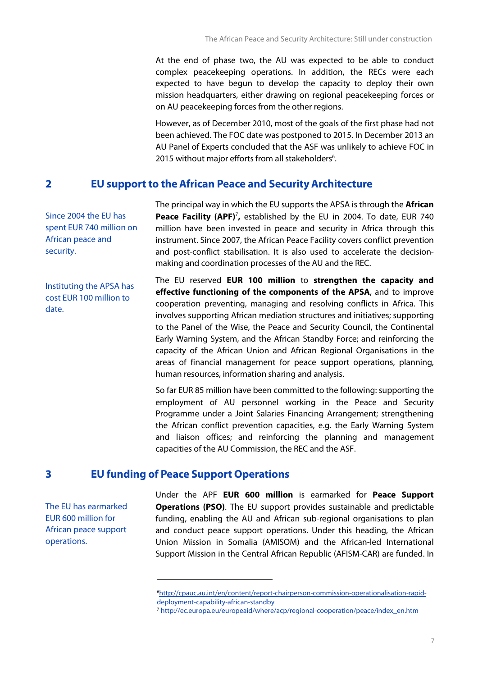At the end of phase two, the AU was expected to be able to conduct complex peacekeeping operations. In addition, the RECs were each expected to have begun to develop the capacity to deploy their own mission headquarters, either drawing on regional peacekeeping forces or on AU peacekeeping forces from the other regions.

However, as of December 2010, most of the goals of the first phase had not been achieved. The FOC date was postponed to 2015. In December 2013 an AU Panel of Experts concluded that the ASF was unlikely to achieve FOC in 2015 without major efforts from all stakeholders<sup>6</sup>.

#### <span id="page-6-0"></span>**2 EU support to the African Peace and Security Architecture**

Since 2004 the EU has spent EUR 740 million on African peace and security.

Instituting the APSA has cost EUR 100 million to date.

The principal way in which the EU supports the APSA is through the **African Peace Facility (APF)**<sup>7</sup> **,** established by the EU in 2004. To date, EUR 740 million have been invested in peace and security in Africa through this instrument. Since 2007, the African Peace Facility covers conflict prevention and post-conflict stabilisation. It is also used to accelerate the decision making and coordination processes of the AU and the REC.

The EU reserved **EUR 100 million** to **strengthen the capacity and effective functioning of the components of the APSA**, and to improve cooperation preventing, managing and resolving conflicts in Africa. This involves supporting African mediation structures and initiatives; supporting to the Panel of the Wise, the Peace and Security Council, the Continental Early Warning System, and the African Standby Force; and reinforcing the capacity of the African Union and African Regional Organisations in the areas of financial management for peace support operations, planning, human resources, information sharing and analysis.

So far EUR 85 million have been committed to the following: supporting the employment of AU personnel working in the Peace and Security Programme under a Joint Salaries Financing Arrangement; strengthening the African conflict prevention capacities, e.g. the Early Warning System and liaison offices; and reinforcing the planning and management capacities of the AU Commission, the REC and the ASF.

#### <span id="page-6-1"></span>**3 EU funding of Peace Support Operations**

The EU has earmarked EUR 600 million for African peace support operations.

Under the APF **EUR 600 million** is earmarked for **Peace Support Operations (PSO)**. The EU support provides sustainable and predictable funding, enabling the AU and African sub-regional organisations to plan and conduct peace support operations. Under this heading, the African Union Mission in Somalia (AMISOM) and the African-led International Support Mission in the Central African Republic (AFISM-CAR) are funded. In

<sup>6</sup>[http://cpauc.au.int/en/content/report-chairperson-commission-operationalisation-rapid](http://cpauc.au.int/en/content/report-chairperson-commission-operationalisation-rapid-deployment-capability-african-standby) [deployment-capability-african-standby](http://cpauc.au.int/en/content/report-chairperson-commission-operationalisation-rapid-deployment-capability-african-standby)

<sup>7</sup> [http://ec.europa.eu/europeaid/where/acp/regional-cooperation/peace/index\\_en.htm](http://ec.europa.eu/europeaid/where/acp/regional-cooperation/peace/index_en.htm)